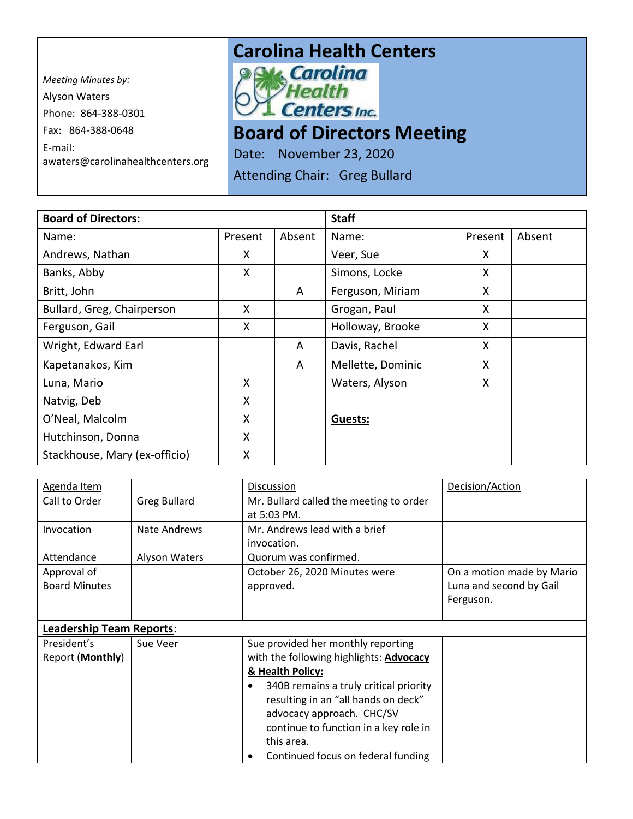*Meeting Minutes by:*  Alyson Waters Phone: 864-388-0301 Fax: 864-388-0648 E-mail: awaters@carolinahealthcenters.org

## **Carolina Health Centers**<br>**Pak, Carolina**



## **Board of Directors Meeting**

Date: November 23, 2020

Attending Chair: Greg Bullard

| <b>Board of Directors:</b>    |         |        | <b>Staff</b>      |         |        |
|-------------------------------|---------|--------|-------------------|---------|--------|
| Name:                         | Present | Absent | Name:             | Present | Absent |
| Andrews, Nathan               | X       |        | Veer, Sue         | X       |        |
| Banks, Abby                   | X       |        | Simons, Locke     | X       |        |
| Britt, John                   |         | A      | Ferguson, Miriam  | X       |        |
| Bullard, Greg, Chairperson    | X       |        | Grogan, Paul      | X       |        |
| Ferguson, Gail                | X       |        | Holloway, Brooke  | X       |        |
| Wright, Edward Earl           |         | A      | Davis, Rachel     | X       |        |
| Kapetanakos, Kim              |         | A      | Mellette, Dominic | X       |        |
| Luna, Mario                   | X       |        | Waters, Alyson    | X       |        |
| Natvig, Deb                   | X       |        |                   |         |        |
| O'Neal, Malcolm               | X       |        | Guests:           |         |        |
| Hutchinson, Donna             | X       |        |                   |         |        |
| Stackhouse, Mary (ex-officio) | X       |        |                   |         |        |

| Agenda Item                     |                      | Discussion                              | Decision/Action           |
|---------------------------------|----------------------|-----------------------------------------|---------------------------|
| Call to Order                   | <b>Greg Bullard</b>  | Mr. Bullard called the meeting to order |                           |
|                                 |                      | at 5:03 PM.                             |                           |
| Invocation                      | Nate Andrews         | Mr. Andrews lead with a brief           |                           |
|                                 |                      | invocation.                             |                           |
| Attendance                      | <b>Alyson Waters</b> | Quorum was confirmed.                   |                           |
| Approval of                     |                      | October 26, 2020 Minutes were           | On a motion made by Mario |
| <b>Board Minutes</b>            |                      | approved.                               | Luna and second by Gail   |
|                                 |                      |                                         | Ferguson.                 |
|                                 |                      |                                         |                           |
| <b>Leadership Team Reports:</b> |                      |                                         |                           |
| President's                     | Sue Veer             | Sue provided her monthly reporting      |                           |
| Report (Monthly)                |                      | with the following highlights: Advocacy |                           |
|                                 |                      | & Health Policy:                        |                           |
|                                 |                      | 340B remains a truly critical priority  |                           |
|                                 |                      | resulting in an "all hands on deck"     |                           |
|                                 |                      | advocacy approach. CHC/SV               |                           |
|                                 |                      | continue to function in a key role in   |                           |
|                                 |                      | this area.                              |                           |
|                                 |                      | Continued focus on federal funding      |                           |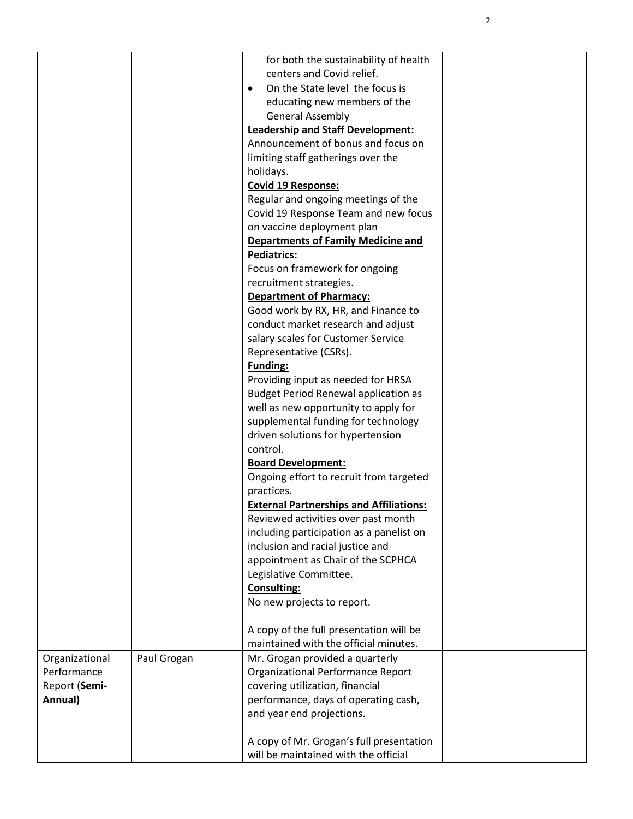|                |             | for both the sustainability of health          |  |
|----------------|-------------|------------------------------------------------|--|
|                |             | centers and Covid relief.                      |  |
|                |             | On the State level the focus is                |  |
|                |             | educating new members of the                   |  |
|                |             | <b>General Assembly</b>                        |  |
|                |             | <b>Leadership and Staff Development:</b>       |  |
|                |             | Announcement of bonus and focus on             |  |
|                |             | limiting staff gatherings over the             |  |
|                |             | holidays.                                      |  |
|                |             | <b>Covid 19 Response:</b>                      |  |
|                |             | Regular and ongoing meetings of the            |  |
|                |             | Covid 19 Response Team and new focus           |  |
|                |             | on vaccine deployment plan                     |  |
|                |             | <b>Departments of Family Medicine and</b>      |  |
|                |             | <b>Pediatrics:</b>                             |  |
|                |             | Focus on framework for ongoing                 |  |
|                |             | recruitment strategies.                        |  |
|                |             | <b>Department of Pharmacy:</b>                 |  |
|                |             | Good work by RX, HR, and Finance to            |  |
|                |             | conduct market research and adjust             |  |
|                |             | salary scales for Customer Service             |  |
|                |             | Representative (CSRs).                         |  |
|                |             | <b>Funding:</b>                                |  |
|                |             | Providing input as needed for HRSA             |  |
|                |             | <b>Budget Period Renewal application as</b>    |  |
|                |             | well as new opportunity to apply for           |  |
|                |             | supplemental funding for technology            |  |
|                |             | driven solutions for hypertension              |  |
|                |             | control.                                       |  |
|                |             | <b>Board Development:</b>                      |  |
|                |             | Ongoing effort to recruit from targeted        |  |
|                |             | practices.                                     |  |
|                |             | <b>External Partnerships and Affiliations:</b> |  |
|                |             | Reviewed activities over past month            |  |
|                |             | including participation as a panelist on       |  |
|                |             | inclusion and racial justice and               |  |
|                |             | appointment as Chair of the SCPHCA             |  |
|                |             | Legislative Committee.                         |  |
|                |             | <b>Consulting:</b>                             |  |
|                |             | No new projects to report.                     |  |
|                |             |                                                |  |
|                |             | A copy of the full presentation will be        |  |
|                |             | maintained with the official minutes.          |  |
| Organizational | Paul Grogan | Mr. Grogan provided a quarterly                |  |
| Performance    |             | Organizational Performance Report              |  |
| Report (Semi-  |             | covering utilization, financial                |  |
| Annual)        |             | performance, days of operating cash,           |  |
|                |             | and year end projections.                      |  |
|                |             |                                                |  |
|                |             | A copy of Mr. Grogan's full presentation       |  |
|                |             | will be maintained with the official           |  |

2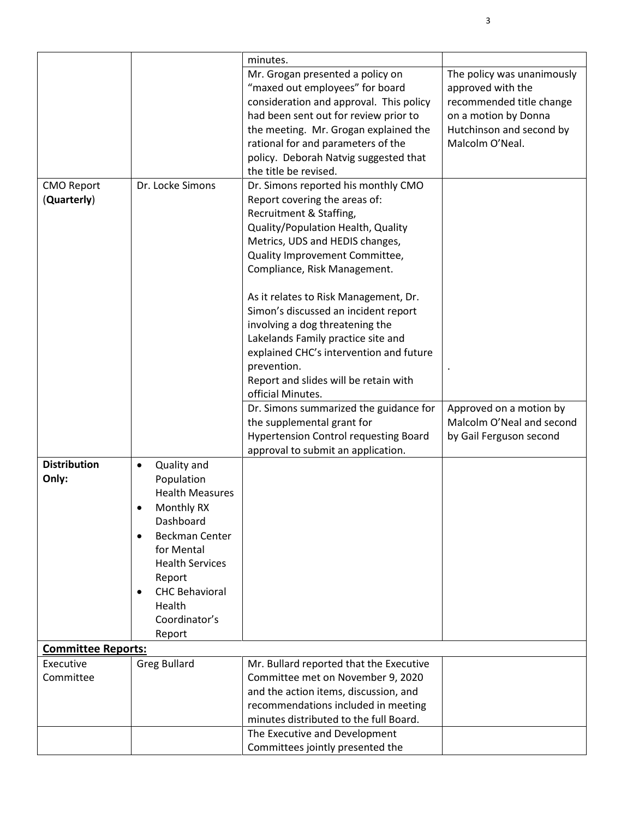|                                  |                                                                                                                                                                                                                               | minutes.                                                                                                                                                                                                                                                                                                                                                                                                                                                                                                                     |                                                                                                                                                    |
|----------------------------------|-------------------------------------------------------------------------------------------------------------------------------------------------------------------------------------------------------------------------------|------------------------------------------------------------------------------------------------------------------------------------------------------------------------------------------------------------------------------------------------------------------------------------------------------------------------------------------------------------------------------------------------------------------------------------------------------------------------------------------------------------------------------|----------------------------------------------------------------------------------------------------------------------------------------------------|
|                                  |                                                                                                                                                                                                                               | Mr. Grogan presented a policy on<br>"maxed out employees" for board<br>consideration and approval. This policy<br>had been sent out for review prior to<br>the meeting. Mr. Grogan explained the<br>rational for and parameters of the<br>policy. Deborah Natvig suggested that<br>the title be revised.                                                                                                                                                                                                                     | The policy was unanimously<br>approved with the<br>recommended title change<br>on a motion by Donna<br>Hutchinson and second by<br>Malcolm O'Neal. |
| <b>CMO Report</b><br>(Quarterly) | Dr. Locke Simons                                                                                                                                                                                                              | Dr. Simons reported his monthly CMO<br>Report covering the areas of:<br>Recruitment & Staffing,<br>Quality/Population Health, Quality<br>Metrics, UDS and HEDIS changes,<br>Quality Improvement Committee,<br>Compliance, Risk Management.<br>As it relates to Risk Management, Dr.<br>Simon's discussed an incident report<br>involving a dog threatening the<br>Lakelands Family practice site and<br>explained CHC's intervention and future<br>prevention.<br>Report and slides will be retain with<br>official Minutes. |                                                                                                                                                    |
|                                  |                                                                                                                                                                                                                               | Dr. Simons summarized the guidance for<br>the supplemental grant for<br><b>Hypertension Control requesting Board</b><br>approval to submit an application.                                                                                                                                                                                                                                                                                                                                                                   | Approved on a motion by<br>Malcolm O'Neal and second<br>by Gail Ferguson second                                                                    |
| <b>Distribution</b><br>Only:     | Quality and<br>$\bullet$<br>Population<br><b>Health Measures</b><br>Monthly RX<br>Dashboard<br>Beckman Center<br>for Mental<br><b>Health Services</b><br>Report<br><b>CHC Behavioral</b><br>Health<br>Coordinator's<br>Report |                                                                                                                                                                                                                                                                                                                                                                                                                                                                                                                              |                                                                                                                                                    |
| <b>Committee Reports:</b>        |                                                                                                                                                                                                                               |                                                                                                                                                                                                                                                                                                                                                                                                                                                                                                                              |                                                                                                                                                    |
| Executive<br>Committee           | <b>Greg Bullard</b>                                                                                                                                                                                                           | Mr. Bullard reported that the Executive<br>Committee met on November 9, 2020<br>and the action items, discussion, and<br>recommendations included in meeting<br>minutes distributed to the full Board.                                                                                                                                                                                                                                                                                                                       |                                                                                                                                                    |
|                                  |                                                                                                                                                                                                                               | The Executive and Development<br>Committees jointly presented the                                                                                                                                                                                                                                                                                                                                                                                                                                                            |                                                                                                                                                    |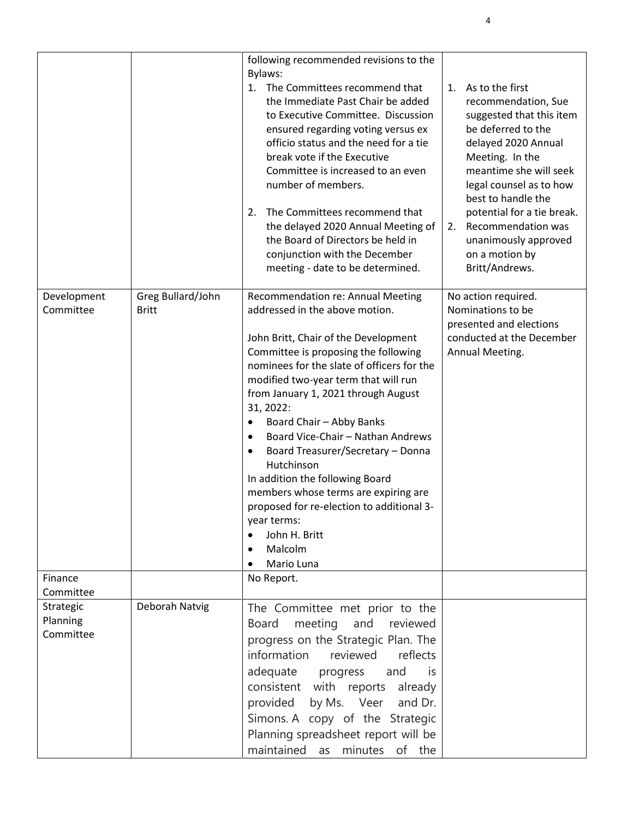|                                    |                                   | following recommended revisions to the<br>Bylaws:<br>1. The Committees recommend that<br>the Immediate Past Chair be added<br>to Executive Committee. Discussion<br>ensured regarding voting versus ex<br>officio status and the need for a tie<br>break vote if the Executive<br>Committee is increased to an even<br>number of members.<br>The Committees recommend that<br>2.<br>the delayed 2020 Annual Meeting of<br>the Board of Directors be held in<br>conjunction with the December<br>meeting - date to be determined.                                                                                     | As to the first<br>1.<br>recommendation, Sue<br>suggested that this item<br>be deferred to the<br>delayed 2020 Annual<br>Meeting. In the<br>meantime she will seek<br>legal counsel as to how<br>best to handle the<br>potential for a tie break.<br>Recommendation was<br>2.<br>unanimously approved<br>on a motion by<br>Britt/Andrews. |
|------------------------------------|-----------------------------------|----------------------------------------------------------------------------------------------------------------------------------------------------------------------------------------------------------------------------------------------------------------------------------------------------------------------------------------------------------------------------------------------------------------------------------------------------------------------------------------------------------------------------------------------------------------------------------------------------------------------|-------------------------------------------------------------------------------------------------------------------------------------------------------------------------------------------------------------------------------------------------------------------------------------------------------------------------------------------|
| Development<br>Committee           | Greg Bullard/John<br><b>Britt</b> | Recommendation re: Annual Meeting<br>addressed in the above motion.<br>John Britt, Chair of the Development<br>Committee is proposing the following<br>nominees for the slate of officers for the<br>modified two-year term that will run<br>from January 1, 2021 through August<br>31, 2022:<br>Board Chair - Abby Banks<br>Board Vice-Chair - Nathan Andrews<br>$\bullet$<br>Board Treasurer/Secretary - Donna<br>٠<br>Hutchinson<br>In addition the following Board<br>members whose terms are expiring are<br>proposed for re-election to additional 3-<br>year terms:<br>John H. Britt<br>Malcolm<br>Mario Luna | No action required.<br>Nominations to be<br>presented and elections<br>conducted at the December<br>Annual Meeting.                                                                                                                                                                                                                       |
| Finance<br>Committee               |                                   | No Report.                                                                                                                                                                                                                                                                                                                                                                                                                                                                                                                                                                                                           |                                                                                                                                                                                                                                                                                                                                           |
| Strategic<br>Planning<br>Committee | Deborah Natvig                    | The Committee met prior to the<br>meeting and<br>Board<br>reviewed<br>progress on the Strategic Plan. The<br>information<br>reviewed<br>reflects<br>adequate progress<br>and<br>is<br>consistent with reports already<br>provided<br>by Ms. Veer<br>and Dr.<br>Simons. A copy of the Strategic<br>Planning spreadsheet report will be<br>maintained as minutes of the                                                                                                                                                                                                                                                |                                                                                                                                                                                                                                                                                                                                           |

4